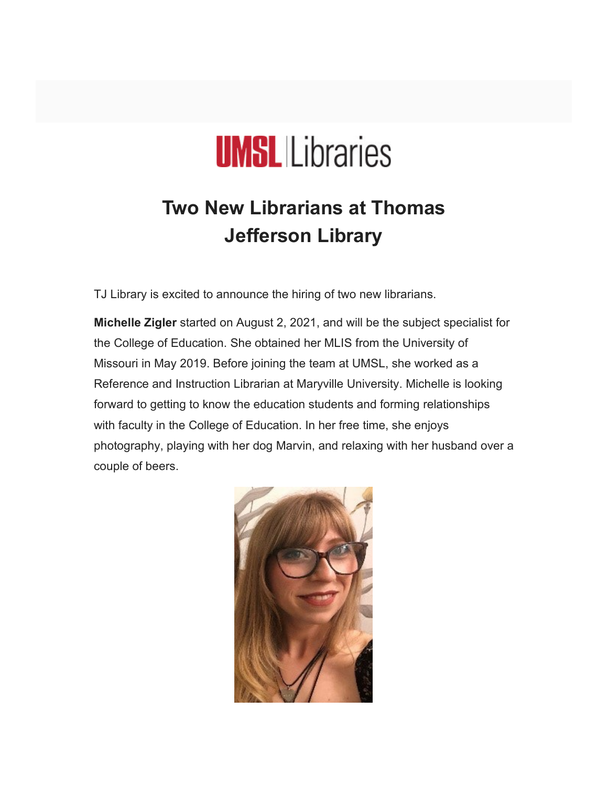

# **Two New Librarians at Thomas Jefferson Library**

TJ Library is excited to announce the hiring of two new librarians.

**Michelle Zigler** started on August 2, 2021, and will be the subject specialist for the College of Education. She obtained her MLIS from the University of Missouri in May 2019. Before joining the team at UMSL, she worked as a Reference and Instruction Librarian at Maryville University. Michelle is looking forward to getting to know the education students and forming relationships with faculty in the College of Education. In her free time, she enjoys photography, playing with her dog Marvin, and relaxing with her husband over a couple of beers.

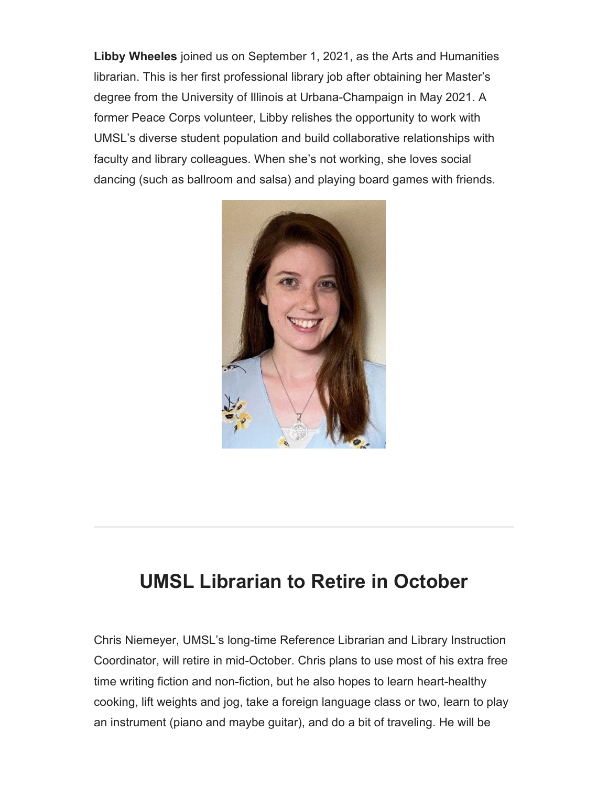**Libby Wheeles** joined us on September 1, 2021, as the Arts and Humanities librarian. This is her first professional library job after obtaining her Master's degree from the University of Illinois at Urbana-Champaign in May 2021. A former Peace Corps volunteer, Libby relishes the opportunity to work with UMSL's diverse student population and build collaborative relationships with faculty and library colleagues. When she's not working, she loves social dancing (such as ballroom and salsa) and playing board games with friends.



### **UMSL Librarian to Retire in October**

Chris Niemeyer, UMSL's long-time Reference Librarian and Library Instruction Coordinator, will retire in mid-October. Chris plans to use most of his extra free time writing fiction and non-fiction, but he also hopes to learn heart-healthy cooking, lift weights and jog, take a foreign language class or two, learn to play an instrument (piano and maybe guitar), and do a bit of traveling. He will be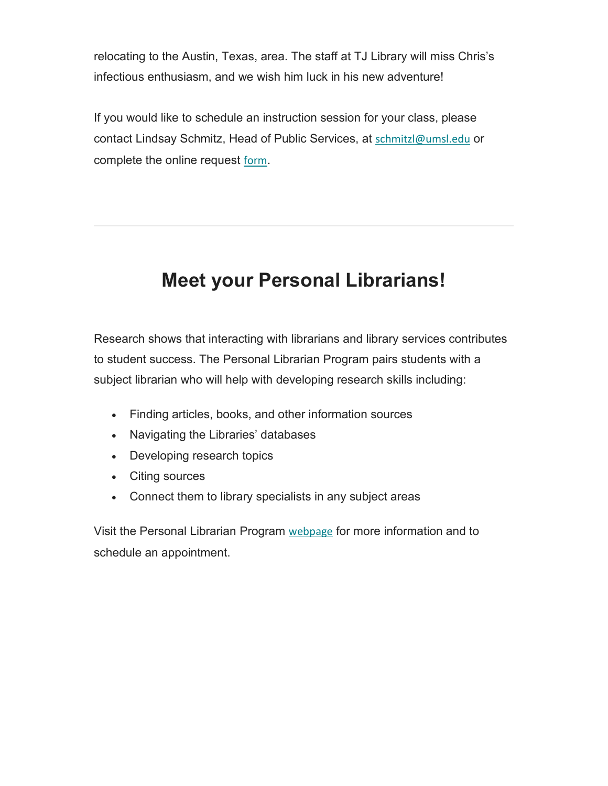relocating to the Austin, Texas, area. The staff at TJ Library will miss Chris's infectious enthusiasm, and we wish him luck in his new adventure!

If you would like to schedule an instruction session for your class, please contact Lindsay Schmitz, Head of Public Services, at [schmitzl@umsl.edu](mailto:schmitzl@umsl.edu) or complete the online request [form](https://libguides.umsl.edu/faculty-services/instruction).

## **Meet your Personal Librarians!**

Research shows that interacting with librarians and library services contributes to student success. The Personal Librarian Program pairs students with a subject librarian who will help with developing research skills including:

- Finding articles, books, and other information sources
- Navigating the Libraries' databases
- Developing research topics
- Citing sources
- Connect them to library specialists in any subject areas

Visit the Personal Librarian Program [webpage](https://libguides.umsl.edu/personallibrarian) for more information and to schedule an appointment.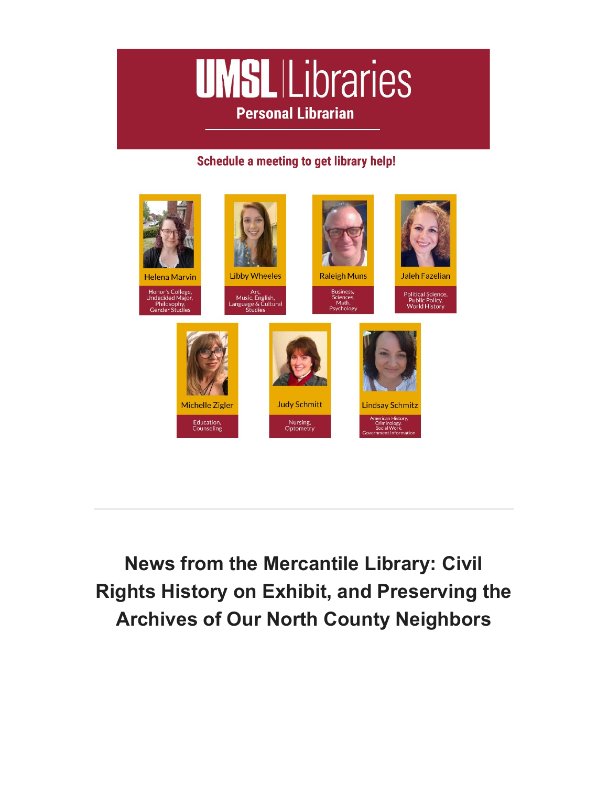

#### Schedule a meeting to get library help!



**News from the Mercantile Library: Civil Rights History on Exhibit, and Preserving the Archives of Our North County Neighbors**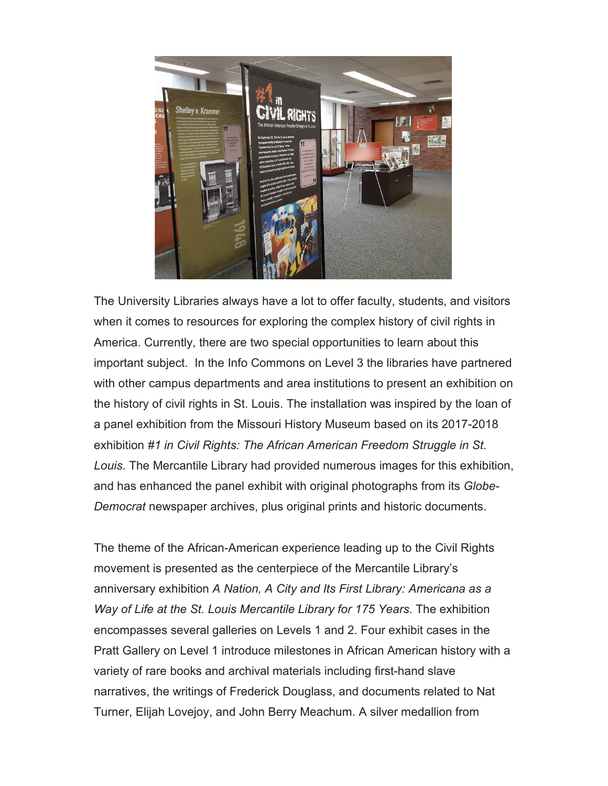

The University Libraries always have a lot to offer faculty, students, and visitors when it comes to resources for exploring the complex history of civil rights in America. Currently, there are two special opportunities to learn about this important subject. In the Info Commons on Level 3 the libraries have partnered with other campus departments and area institutions to present an exhibition on the history of civil rights in St. Louis. The installation was inspired by the loan of a panel exhibition from the Missouri History Museum based on its 2017-2018 exhibition *#1 in Civil Rights: The African American Freedom Struggle in St. Louis*. The Mercantile Library had provided numerous images for this exhibition, and has enhanced the panel exhibit with original photographs from its *Globe-Democrat* newspaper archives, plus original prints and historic documents.

The theme of the African-American experience leading up to the Civil Rights movement is presented as the centerpiece of the Mercantile Library's anniversary exhibition *A Nation, A City and Its First Library: Americana as a Way of Life at the St. Louis Mercantile Library for 175 Years*. The exhibition encompasses several galleries on Levels 1 and 2. Four exhibit cases in the Pratt Gallery on Level 1 introduce milestones in African American history with a variety of rare books and archival materials including first-hand slave narratives, the writings of Frederick Douglass, and documents related to Nat Turner, Elijah Lovejoy, and John Berry Meachum. A silver medallion from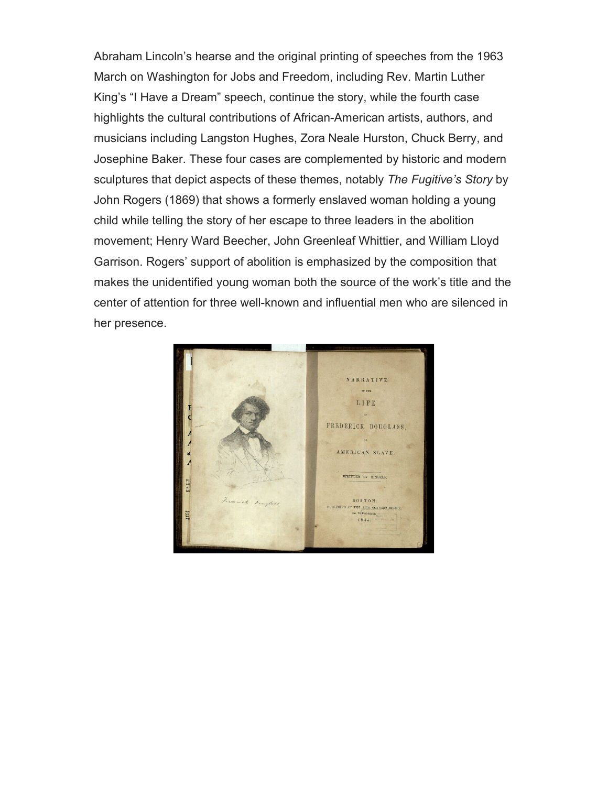Abraham Lincoln's hearse and the original printing of speeches from the 1963 March on Washington for Jobs and Freedom, including Rev. Martin Luther King's "I Have a Dream" speech, continue the story, while the fourth case highlights the cultural contributions of African-American artists, authors, and musicians including Langston Hughes, Zora Neale Hurston, Chuck Berry, and Josephine Baker. These four cases are complemented by historic and modern sculptures that depict aspects of these themes, notably *The Fugitive's Story* by John Rogers (1869) that shows a formerly enslaved woman holding a young child while telling the story of her escape to three leaders in the abolition movement; Henry Ward Beecher, John Greenleaf Whittier, and William Lloyd Garrison. Rogers' support of abolition is emphasized by the composition that makes the unidentified young woman both the source of the work's title and the center of attention for three well-known and influential men who are silenced in her presence.

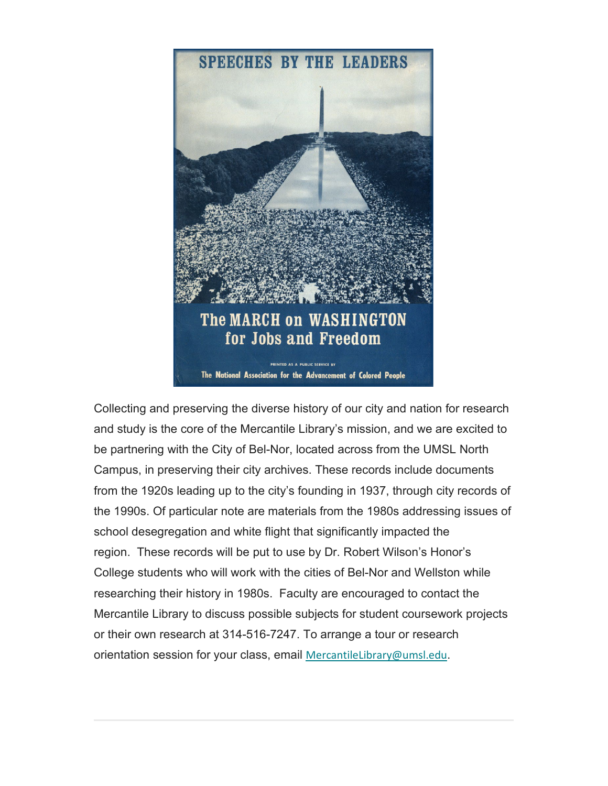

Collecting and preserving the diverse history of our city and nation for research and study is the core of the Mercantile Library's mission, and we are excited to be partnering with the City of Bel-Nor, located across from the UMSL North Campus, in preserving their city archives. These records include documents from the 1920s leading up to the city's founding in 1937, through city records of the 1990s. Of particular note are materials from the 1980s addressing issues of school desegregation and white flight that significantly impacted the region. These records will be put to use by Dr. Robert Wilson's Honor's College students who will work with the cities of Bel-Nor and Wellston while researching their history in 1980s. Faculty are encouraged to contact the Mercantile Library to discuss possible subjects for student coursework projects or their own research at 314-516-7247. To arrange a tour or research orientation session for your class, email [MercantileLibrary@umsl.edu](mailto:MercantileLibrary@umsl.edu).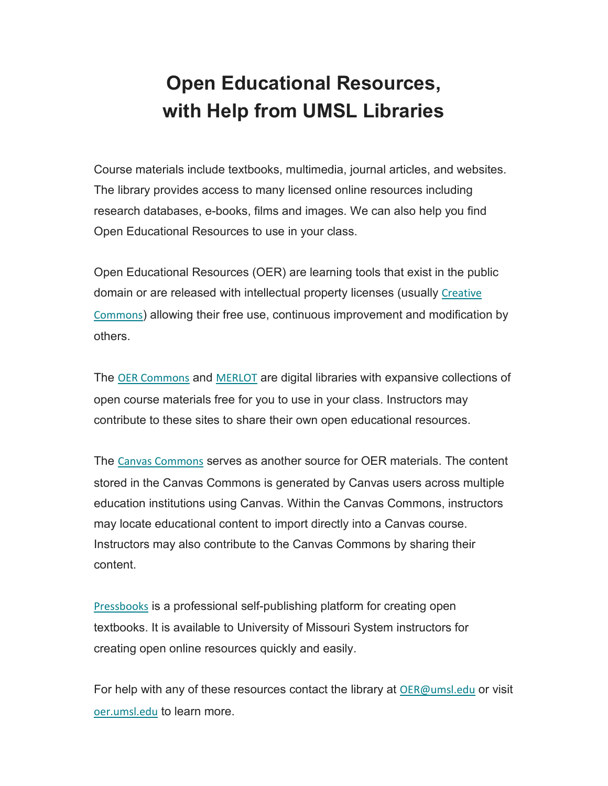# **Open Educational Resources, with Help from UMSL Libraries**

Course materials include textbooks, multimedia, journal articles, and websites. The library provides access to many licensed online resources including research databases, e-books, films and images. We can also help you find Open Educational Resources to use in your class.

Open Educational Resources (OER) are learning tools that exist in the public domain or are released with intellectual property licenses (usually Creative [Commons](https://nam02.safelinks.protection.outlook.com/?url=http%3A%2F%2Fwww.creativecommons.org%2F&data=04%7C01%7Cmarvinh%40umsl.edu%7C8eeb2614aba84dca6b2b08d99407c91f%7Ce3fefdbef7e9401ba51a355e01b05a89%7C0%7C0%7C637703583888754054%7CUnknown%7CTWFpbGZsb3d8eyJWIjoiMC4wLjAwMDAiLCJQIjoiV2luMzIiLCJBTiI6Ik1haWwiLCJXVCI6Mn0%3D%7C1000&sdata=DEJlxTAP3cydqAnzlJlnwlrszDhoVzXnX%2FfcwKOTGio%3D&reserved=0)) allowing their free use, continuous improvement and modification by others.

The [OER Commons](https://nam02.safelinks.protection.outlook.com/?url=https%3A%2F%2Fwww.oercommons.org%2F&data=04%7C01%7Cmarvinh%40umsl.edu%7C8eeb2614aba84dca6b2b08d99407c91f%7Ce3fefdbef7e9401ba51a355e01b05a89%7C0%7C0%7C637703583888764013%7CUnknown%7CTWFpbGZsb3d8eyJWIjoiMC4wLjAwMDAiLCJQIjoiV2luMzIiLCJBTiI6Ik1haWwiLCJXVCI6Mn0%3D%7C1000&sdata=PHSEZhf%2F8q6RuCannlwcLrk5CE%2BX5HsJfesjVLwe8%2FM%3D&reserved=0) and [MERLOT](https://nam02.safelinks.protection.outlook.com/?url=https%3A%2F%2Fwww.merlot.org%2Fmerlot%2F&data=04%7C01%7Cmarvinh%40umsl.edu%7C8eeb2614aba84dca6b2b08d99407c91f%7Ce3fefdbef7e9401ba51a355e01b05a89%7C0%7C0%7C637703583888764013%7CUnknown%7CTWFpbGZsb3d8eyJWIjoiMC4wLjAwMDAiLCJQIjoiV2luMzIiLCJBTiI6Ik1haWwiLCJXVCI6Mn0%3D%7C1000&sdata=K2obMKEiFaP%2FzJdzWQ%2F5pX1SPFCAk%2BsHv43uOawfe4o%3D&reserved=0) are digital libraries with expansive collections of open course materials free for you to use in your class. Instructors may contribute to these sites to share their own open educational resources.

The [Canvas Commons](https://nam02.safelinks.protection.outlook.com/?url=https%3A%2F%2Fcommunity.canvaslms.com%2Ft5%2FCanvas-Commons%2FWhat-is-Canvas-Commons%2Fta-p%2F1788&data=04%7C01%7Cmarvinh%40umsl.edu%7C8eeb2614aba84dca6b2b08d99407c91f%7Ce3fefdbef7e9401ba51a355e01b05a89%7C0%7C0%7C637703583888773968%7CUnknown%7CTWFpbGZsb3d8eyJWIjoiMC4wLjAwMDAiLCJQIjoiV2luMzIiLCJBTiI6Ik1haWwiLCJXVCI6Mn0%3D%7C1000&sdata=wm%2BPPfJ9CBUc%2BSgvgonY7cq%2BR7ck7Sd6LAjmDg3YIgk%3D&reserved=0) serves as another source for OER materials. The content stored in the Canvas Commons is generated by Canvas users across multiple education institutions using Canvas. Within the Canvas Commons, instructors may locate educational content to import directly into a Canvas course. Instructors may also contribute to the Canvas Commons by sharing their content.

[Pressbooks](https://nam02.safelinks.protection.outlook.com/?url=https%3A%2F%2Fumsystem.pressbooks.pub%2F&data=04%7C01%7Cmarvinh%40umsl.edu%7C8eeb2614aba84dca6b2b08d99407c91f%7Ce3fefdbef7e9401ba51a355e01b05a89%7C0%7C0%7C637703583888773968%7CUnknown%7CTWFpbGZsb3d8eyJWIjoiMC4wLjAwMDAiLCJQIjoiV2luMzIiLCJBTiI6Ik1haWwiLCJXVCI6Mn0%3D%7C1000&sdata=Fxbm2qbWZp5y9Dnr3TP9EEZQi9v1FuOXAw1CtvXGtQ0%3D&reserved=0) is a professional self-publishing platform for creating open textbooks. It is available to University of Missouri System instructors for creating open online resources quickly and easily.

For help with any of these resources contact the library at [OER@umsl.edu](mailto:OER@umsl.edu) or visit [oer.umsl.edu](http://oer.umsl.edu/) to learn more.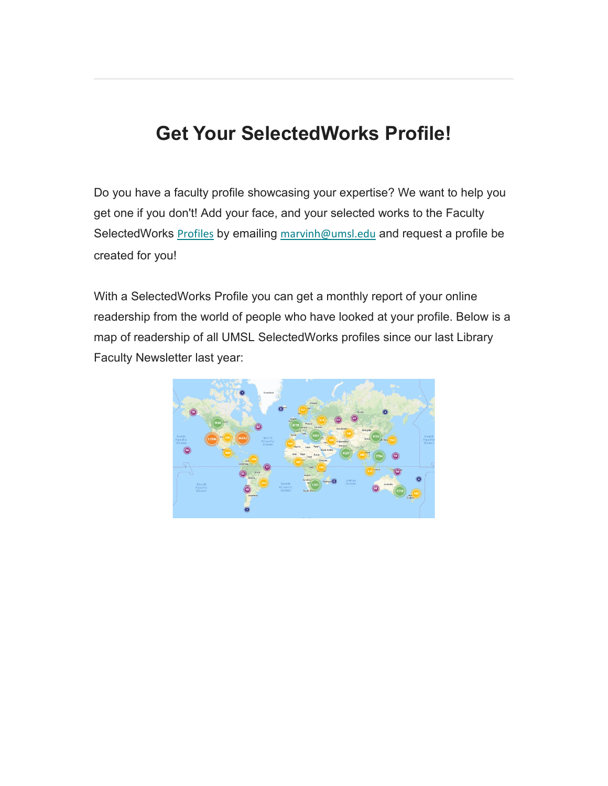### **Get Your SelectedWorks Profile!**

Do you have a faculty profile showcasing your expertise? We want to help you get one if you don't! Add your face, and your selected works to the Faculty SelectedWorks **[Profiles](https://irl.umsl.edu/sw_gallery.html)** by emailing [marvinh@umsl.edu](mailto:marvinh@umsl.edu) and request a profile be created for you!

With a SelectedWorks Profile you can get a monthly report of your online readership from the world of people who have looked at your profile. Below is a map of readership of all UMSL SelectedWorks profiles since our last Library Faculty Newsletter last year: